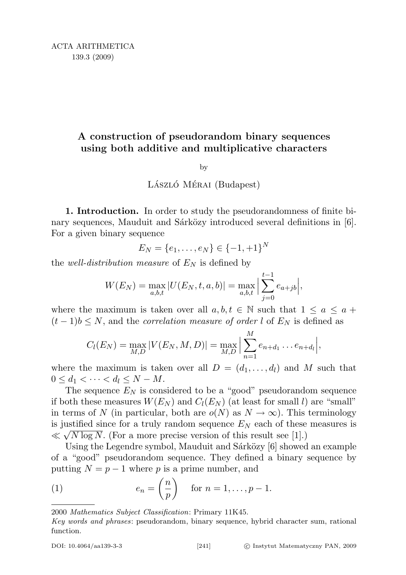# A construction of pseudorandom binary sequences using both additive and multiplicative characters

#### by

## LÁSZLÓ MÉRAI (Budapest)

1. Introduction. In order to study the pseudorandomness of finite binary sequences, Mauduit and Sárközy introduced several definitions in  $[6]$ . For a given binary sequence

$$
E_N = \{e_1, \ldots, e_N\} \in \{-1, +1\}^N
$$

the *well-distribution measure* of  $E<sub>N</sub>$  is defined by

$$
W(E_N) = \max_{a,b,t} |U(E_N, t, a, b)| = \max_{a,b,t} \left| \sum_{j=0}^{t-1} e_{a+jb} \right|,
$$

where the maximum is taken over all  $a, b, t \in \mathbb{N}$  such that  $1 \le a \le a +$  $(t-1)b \leq N$ , and the *correlation measure of order l* of  $E<sub>N</sub>$  is defined as

$$
C_l(E_N) = \max_{M,D} |V(E_N, M, D)| = \max_{M,D} \Big| \sum_{n=1}^M e_{n+d_1} \dots e_{n+d_l} \Big|,
$$

where the maximum is taken over all  $D = (d_1, \ldots, d_l)$  and M such that  $0 \leq d_1 < \cdots < d_l \leq N - M$ .

The sequence  $E_N$  is considered to be a "good" pseudorandom sequence if both these measures  $W(E_N)$  and  $C_l(E_N)$  (at least for small l) are "small" in terms of N (in particular, both are  $o(N)$  as  $N \to \infty$ ). This terminology is justified since for a truly random sequence  $E_N$  each of these measures is  $\ll \sqrt{N \log N}$ . (For a more precise version of this result see [1].)

Using the Legendre symbol, Mauduit and Sárközy [6] showed an example of a "good" pseudorandom sequence. They defined a binary sequence by putting  $N = p - 1$  where p is a prime number, and

(1) 
$$
e_n = \left(\frac{n}{p}\right) \quad \text{for } n = 1, \dots, p-1.
$$

<sup>2000</sup> Mathematics Subject Classification: Primary 11K45.

Key words and phrases: pseudorandom, binary sequence, hybrid character sum, rational function.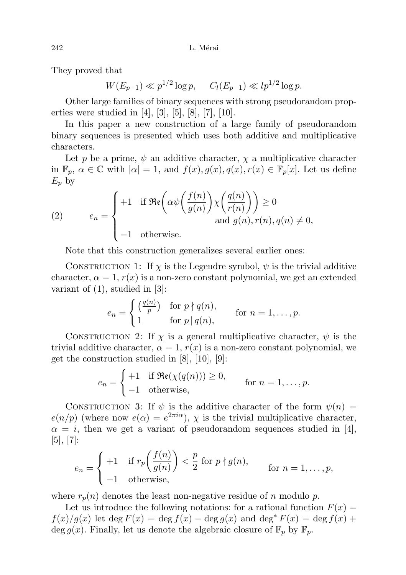They proved that

 $W(E_{p-1}) \ll p^{1/2} \log p$ ,  $C_l(E_{p-1}) \ll lp^{1/2} \log p$ .

Other large families of binary sequences with strong pseudorandom properties were studied in [4], [3], [5], [8], [7], [10].

In this paper a new construction of a large family of pseudorandom binary sequences is presented which uses both additive and multiplicative characters.

Let p be a prime,  $\psi$  an additive character,  $\chi$  a multiplicative character in  $\mathbb{F}_p$ ,  $\alpha \in \mathbb{C}$  with  $|\alpha|=1$ , and  $f(x), g(x), q(x), r(x) \in \mathbb{F}_p[x]$ . Let us define  $E_p$  by

(2) 
$$
e_n = \begin{cases} +1 & \text{if } \Re\mathfrak{e}\left(\alpha\psi\left(\frac{f(n)}{g(n)}\right)\chi\left(\frac{q(n)}{r(n)}\right)\right) \geq 0\\ -1 & \text{otherwise.} \end{cases}
$$
 and  $g(n), r(n), q(n) \neq 0$ ,

Note that this construction generalizes several earlier ones:

CONSTRUCTION 1: If  $\chi$  is the Legendre symbol,  $\psi$  is the trivial additive character,  $\alpha = 1$ ,  $r(x)$  is a non-zero constant polynomial, we get an extended variant of  $(1)$ , studied in  $[3]$ :

$$
e_n = \begin{cases} \left(\frac{q(n)}{p}\right) & \text{for } p \nmid q(n), \\ 1 & \text{for } p \mid q(n), \end{cases} \quad \text{for } n = 1, \dots, p.
$$

CONSTRUCTION 2: If  $\chi$  is a general multiplicative character,  $\psi$  is the trivial additive character,  $\alpha = 1$ ,  $r(x)$  is a non-zero constant polynomial, we get the construction studied in [8], [10], [9]:

$$
e_n = \begin{cases} +1 & \text{if } \Re(\chi(q(n))) \ge 0, \\ -1 & \text{otherwise,} \end{cases} \quad \text{for } n = 1, \dots, p.
$$

CONSTRUCTION 3: If  $\psi$  is the additive character of the form  $\psi(n) =$  $e(n/p)$  (where now  $e(\alpha) = e^{2\pi i \alpha}$ ),  $\chi$  is the trivial multiplicative character,  $\alpha = i$ , then we get a variant of pseudorandom sequences studied in [4], [5], [7]:

$$
e_n = \begin{cases} +1 & \text{if } r_p\left(\frac{f(n)}{g(n)}\right) < \frac{p}{2} \text{ for } p \nmid g(n), \\ -1 & \text{otherwise,} \end{cases} \quad \text{for } n = 1, \dots, p,
$$

where  $r_p(n)$  denotes the least non-negative residue of n modulo p.

Let us introduce the following notations: for a rational function  $F(x) =$  $f(x)/g(x)$  let deg  $F(x) = \deg f(x) - \deg g(x)$  and  $\deg^* F(x) = \deg f(x) +$ deg  $g(x)$ . Finally, let us denote the algebraic closure of  $\mathbb{F}_p$  by  $\mathbb{F}_p$ .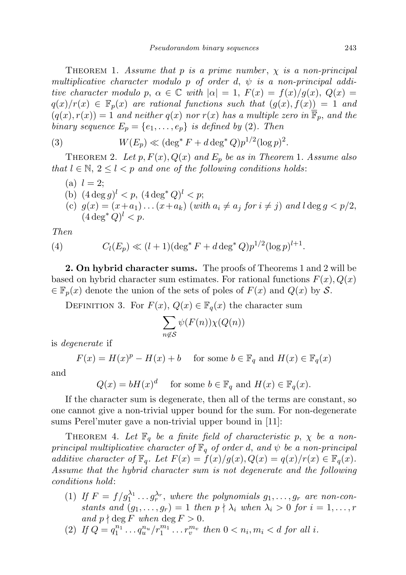THEOREM 1. Assume that p is a prime number,  $\chi$  is a non-principal multiplicative character modulo p of order d,  $\psi$  is a non-principal additive character modulo p,  $\alpha \in \mathbb{C}$  with  $|\alpha| = 1$ ,  $F(x) = f(x)/g(x)$ ,  $Q(x) =$  $q(x)/r(x) \in \mathbb{F}_p(x)$  are rational functions such that  $(q(x), f(x)) = 1$  and  $(q(x), r(x)) = 1$  and neither  $q(x)$  nor  $r(x)$  has a multiple zero in  $\overline{\mathbb{F}}_p$ , and the binary sequence  $E_p = \{e_1, \ldots, e_p\}$  is defined by (2). Then

(3) 
$$
W(E_p) \ll (\deg^* F + d \deg^* Q) p^{1/2} (\log p)^2
$$
.

THEOREM 2. Let  $p, F(x), Q(x)$  and  $E_p$  be as in Theorem 1. Assume also that  $l \in \mathbb{N}, 2 \leq l < p$  and one of the following conditions holds:

\n- (a) 
$$
l = 2
$$
;
\n- (b)  $(4 \deg g)^l < p$ ,  $(4 \deg^* Q)^l < p$ ;
\n- (c)  $g(x) = (x + a_1) \dots (x + a_k)$  (with  $a_i \neq a_j$  for  $i \neq j$ ) and  $l \deg g < p/2$ ,  $(4 \deg^* Q)^l < p$ .
\n

Then

(4) 
$$
C_l(E_p) \ll (l+1)(\deg^* F + d \deg^* Q)p^{1/2}(\log p)^{l+1}.
$$

2. On hybrid character sums. The proofs of Theorems 1 and 2 will be based on hybrid character sum estimates. For rational functions  $F(x)$ ,  $Q(x)$  $\in \mathbb{F}_p(x)$  denote the union of the sets of poles of  $F(x)$  and  $Q(x)$  by S.

DEFINITION 3. For  $F(x)$ ,  $Q(x) \in \mathbb{F}_q(x)$  the character sum

$$
\sum_{n \notin \mathcal{S}} \psi(F(n)) \chi(Q(n))
$$

is degenerate if

 $F(x) = H(x)^p - H(x) + b$  for some  $b \in \mathbb{F}_q$  and  $H(x) \in \mathbb{F}_q(x)$ 

and

 $Q(x) = bH(x)^d$  for some  $b \in \mathbb{F}_q$  and  $H(x) \in \mathbb{F}_q(x)$ .

If the character sum is degenerate, then all of the terms are constant, so one cannot give a non-trivial upper bound for the sum. For non-degenerate sums Perel'muter gave a non-trivial upper bound in [11]:

THEOREM 4. Let  $\mathbb{F}_q$  be a finite field of characteristic p,  $\chi$  be a nonprincipal multiplicative character of  $\mathbb{F}_q$  of order d, and  $\psi$  be a non-principal additive character of  $\mathbb{F}_q$ . Let  $F(x) = f(x)/g(x), Q(x) = q(x)/r(x) \in \mathbb{F}_q(x)$ . Assume that the hybrid character sum is not degenerate and the following conditions hold:

- (1) If  $F = f/g_1^{\lambda_1} \dots g_r^{\lambda_r}$ , where the polynomials  $g_1, \dots, g_r$  are non-constants and  $(g_1, \ldots, g_r) = 1$  then  $p \nmid \lambda_i$  when  $\lambda_i > 0$  for  $i = 1, \ldots, r$ and  $p \nmid \deg F$  when  $\deg F > 0$ .
- (2) If  $Q = q_1^{n_1} \dots q_u^{n_u}/r_1^{m_1} \dots r_v^{m_v}$  then  $0 < n_i, m_i < d$  for all i.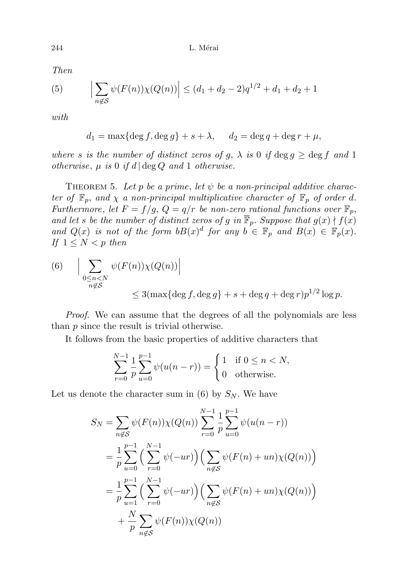Then

(5) 
$$
\left| \sum_{n \notin S} \psi(F(n)) \chi(Q(n)) \right| \le (d_1 + d_2 - 2) q^{1/2} + d_1 + d_2 + 1
$$

with

$$
d_1 = \max\{\deg f, \deg g\} + s + \lambda, \quad d_2 = \deg q + \deg r + \mu,
$$

where s is the number of distinct zeros of g,  $\lambda$  is 0 if  $\deg g \geq \deg f$  and 1 otherwise,  $\mu$  is 0 if d  $\deg Q$  and 1 otherwise.

THEOREM 5. Let p be a prime, let  $\psi$  be a non-principal additive character of  $\mathbb{F}_p$ , and  $\chi$  a non-principal multiplicative character of  $\mathbb{F}_p$  of order d. Furthermore, let  $F = f/g$ ,  $Q = q/r$  be non-zero rational functions over  $\mathbb{F}_p$ , and let s be the number of distinct zeros of g in  $\overline{\mathbb{F}}_p$ . Suppose that  $g(x) \nmid f(x)$ and  $Q(x)$  is not of the form  $bB(x)^d$  for any  $b \in \mathbb{F}_p$  and  $B(x) \in \mathbb{F}_p(x)$ . If  $1 \leq N < p$  then

(6) 
$$
\left| \sum_{\substack{0 \le n < N \\ n \notin \mathcal{S}}} \psi(F(n)) \chi(Q(n)) \right|
$$
  
\$\leq 3 (\max\{\deg f, \deg g\} + s + \deg q + \deg r) p^{1/2} \log p\$.

Proof. We can assume that the degrees of all the polynomials are less than p since the result is trivial otherwise.

It follows from the basic properties of additive characters that

$$
\sum_{r=0}^{N-1} \frac{1}{p} \sum_{u=0}^{p-1} \psi(u(n-r)) = \begin{cases} 1 & \text{if } 0 \le n < N, \\ 0 & \text{otherwise.} \end{cases}
$$

Let us denote the character sum in (6) by  $S_N$ . We have

$$
S_N = \sum_{n \notin S} \psi(F(n)) \chi(Q(n)) \sum_{r=0}^{N-1} \frac{1}{p} \sum_{u=0}^{p-1} \psi(u(n-r))
$$
  
=  $\frac{1}{p} \sum_{u=0}^{p-1} \left( \sum_{r=0}^{N-1} \psi(-ur) \right) \left( \sum_{n \notin S} \psi(F(n) + un) \chi(Q(n)) \right)$   
=  $\frac{1}{p} \sum_{u=1}^{p-1} \left( \sum_{r=0}^{N-1} \psi(-ur) \right) \left( \sum_{n \notin S} \psi(F(n) + un) \chi(Q(n)) \right)$   
+  $\frac{N}{p} \sum_{n \notin S} \psi(F(n)) \chi(Q(n))$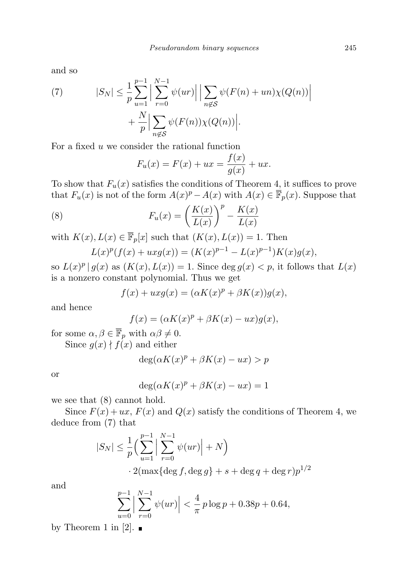and so

(7) 
$$
|S_N| \leq \frac{1}{p} \sum_{u=1}^{p-1} \left| \sum_{r=0}^{N-1} \psi(ur) \right| \left| \sum_{n \notin S} \psi(F(n) + un) \chi(Q(n)) \right| + \frac{N}{p} \left| \sum_{n \notin S} \psi(F(n)) \chi(Q(n)) \right|.
$$

For a fixed  $u$  we consider the rational function

$$
F_u(x) = F(x) + ux = \frac{f(x)}{g(x)} + ux.
$$

To show that  $F_u(x)$  satisfies the conditions of Theorem 4, it suffices to prove that  $F_u(x)$  is not of the form  $A(x)^p - A(x)$  with  $A(x) \in \overline{\mathbb{F}}_p(x)$ . Suppose that

(8) 
$$
F_u(x) = \left(\frac{K(x)}{L(x)}\right)^p - \frac{K(x)}{L(x)}
$$

with  $K(x), L(x) \in \overline{\mathbb{F}}_p[x]$  such that  $(K(x), L(x)) = 1$ . Then

$$
L(x)^p(f(x) + u x g(x)) = (K(x)^{p-1} - L(x)^{p-1})K(x)g(x),
$$

so  $L(x)^p | g(x)$  as  $(K(x), L(x)) = 1$ . Since  $\deg g(x) < p$ , it follows that  $L(x)$ is a nonzero constant polynomial. Thus we get

$$
f(x) + u x g(x) = (\alpha K(x)^p + \beta K(x)) g(x),
$$

and hence

$$
f(x) = (\alpha K(x)^p + \beta K(x) - ux)g(x),
$$

for some  $\alpha, \beta \in \overline{\mathbb{F}}_p$  with  $\alpha \beta \neq 0$ .

Since  $g(x) \nmid f(x)$  and either

$$
\deg(\alpha K(x)^p + \beta K(x) - ux) > p
$$

or

$$
deg(\alpha K(x)^p + \beta K(x) - ux) = 1
$$

we see that (8) cannot hold.

Since  $F(x) + ux$ ,  $F(x)$  and  $Q(x)$  satisfy the conditions of Theorem 4, we deduce from (7) that

$$
|S_N| \le \frac{1}{p} \left( \sum_{u=1}^{p-1} \left| \sum_{r=0}^{N-1} \psi(ur) \right| + N \right)
$$
  
 
$$
2(\max\{\deg f, \deg g\} + s + \deg q + \deg r)p^{1/2}
$$

and

$$
\sum_{u=0}^{p-1} \left| \sum_{r=0}^{N-1} \psi(ur) \right| < \frac{4}{\pi} p \log p + 0.38p + 0.64,
$$

by Theorem 1 in [2].  $\blacksquare$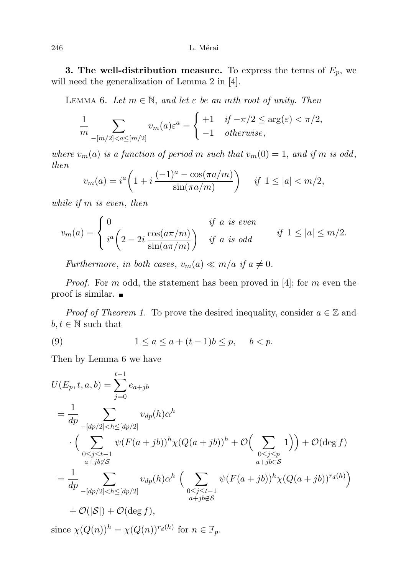**3. The well-distribution measure.** To express the terms of  $E_p$ , we will need the generalization of Lemma 2 in [4].

LEMMA 6. Let  $m \in \mathbb{N}$ , and let  $\varepsilon$  be an mth root of unity. Then

$$
\frac{1}{m} \sum_{-[m/2] < a \leq [m/2]} v_m(a) \varepsilon^a = \begin{cases} +1 & \text{if } -\pi/2 \leq \arg(\varepsilon) < \pi/2, \\ -1 & \text{otherwise,} \end{cases}
$$

where  $v_m(a)$  is a function of period m such that  $v_m(0) = 1$ , and if m is odd, then

$$
v_m(a) = i^a \left( 1 + i \frac{(-1)^a - \cos(\pi a/m)}{\sin(\pi a/m)} \right) \quad \text{if } 1 \le |a| < m/2,
$$

while if m is even, then

$$
v_m(a) = \begin{cases} 0 & \text{if } a \text{ is even} \\ i^a \left(2 - 2i \frac{\cos(a\pi/m)}{\sin(a\pi/m)}\right) & \text{if } a \text{ is odd} \end{cases} \quad \text{if } 1 \le |a| \le m/2.
$$

Furthermore, in both cases,  $v_m(a) \ll m/a$  if  $a \neq 0$ .

*Proof.* For m odd, the statement has been proved in [4]; for m even the proof is similar.

*Proof of Theorem 1.* To prove the desired inequality, consider  $a \in \mathbb{Z}$  and  $b, t \in \mathbb{N}$  such that

(9) 
$$
1 \le a \le a + (t-1)b \le p, \quad b < p.
$$

Then by Lemma 6 we have

$$
U(E_p, t, a, b) = \sum_{j=0}^{t-1} e_{a+jb}
$$
  
=  $\frac{1}{dp} \sum_{\substack{-[dp/2] < h \leq [dp/2]}} v_{dp}(h) \alpha^h$   
 $\cdot \left( \sum_{\substack{0 \leq j \leq t-1 \\ a+jb \notin S}} \psi(F(a+jb))^h \chi(Q(a+jb))^h + \mathcal{O}\left(\sum_{\substack{0 \leq j \leq p \\ a+jb \in S}} 1\right) \right) + \mathcal{O}(\deg f)$   
=  $\frac{1}{dp} \sum_{\substack{-[dp/2] < h \leq [dp/2]}} v_{dp}(h) \alpha^h \left( \sum_{\substack{0 \leq j \leq t-1 \\ a+jb \notin S}} \psi(F(a+jb))^h \chi(Q(a+jb))^{r_d(h)} \right)$   
+  $\mathcal{O}(|S|) + \mathcal{O}(\deg f),$ 

since  $\chi(Q(n))^h = \chi(Q(n))^{r_d(h)}$  for  $n \in \mathbb{F}_p$ .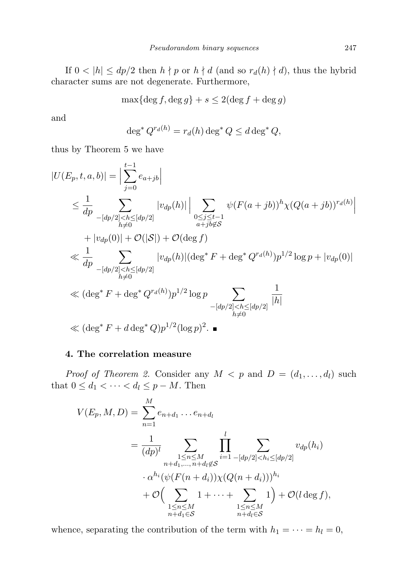If  $0 < |h| \le dp/2$  then  $h \nmid p$  or  $h \nmid d$  (and so  $r_d(h) \nmid d$ ), thus the hybrid character sums are not degenerate. Furthermore,

$$
\max\{\deg f,\deg g\}+s\leq 2(\deg f+\deg g)
$$

and

$$
\deg^* Q^{r_d(h)} = r_d(h) \deg^* Q \le d \deg^* Q,
$$

thus by Theorem 5 we have

$$
|U(E_p, t, a, b)| = \Big| \sum_{j=0}^{t-1} e_{a+jb} \Big|
$$
  
\n
$$
\leq \frac{1}{dp} \sum_{\substack{-[dp/2] < h \leq [dp/2] \\ h \neq 0}} |v_{dp}(h)| \Big| \sum_{\substack{0 \leq j \leq t-1 \\ a+jb \notin S}} \psi(F(a+jb))^h \chi(Q(a+jb))^{r_d(h)} \Big|
$$
  
\n
$$
+ |v_{dp}(0)| + \mathcal{O}(|\mathcal{S}|) + \mathcal{O}(\deg f)
$$
  
\n
$$
\ll \frac{1}{dp} \sum_{\substack{-[dp/2] < h \leq [dp/2] \\ h \neq 0}} |v_{dp}(h)| (\deg^* F + \deg^* Q^{r_d(h)}) p^{1/2} \log p + |v_{dp}(0)|
$$
  
\n
$$
\ll (\deg^* F + \deg^* Q^{r_d(h)}) p^{1/2} \log p \sum_{\substack{-[dp/2] < h \leq [dp/2] \\ h \neq 0}} \frac{1}{|h|}
$$
  
\n
$$
\ll (\deg^* F + d \deg^* Q) p^{1/2} (\log p)^2.
$$

### 4. The correlation measure

*Proof of Theorem 2.* Consider any  $M < p$  and  $D = (d_1, \ldots, d_l)$  such that  $0 \leq d_1 < \cdots < d_l \leq p - M$ . Then

$$
V(E_p, M, D) = \sum_{n=1}^{M} e_{n+d_1} \dots e_{n+d_l}
$$
  
= 
$$
\frac{1}{(dp)^l} \sum_{\substack{1 \le n \le M \\ n+d_1, \dots, n+d_l \notin S}} \prod_{i=1}^{l} \sum_{\substack{-[dp/2] < h_i \le [dp/2] \\ -\alpha^{h_i} (\psi(F(n+d_i)) \chi(Q(n+d_i)))^{h_i} \\ + \mathcal{O}\Big(\sum_{\substack{1 \le n \le M \\ n+d_l \in S}} 1 + \dots + \sum_{\substack{1 \le n \le M \\ n+d_l \in S}} 1\Big) + \mathcal{O}(l \deg f),
$$

whence, separating the contribution of the term with  $h_1 = \cdots = h_l = 0$ ,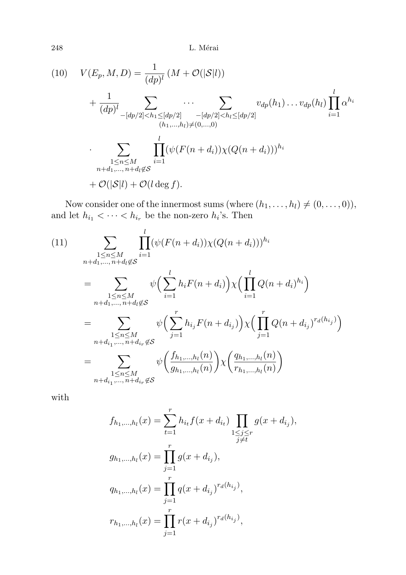$248$   $\,$  L. Mérai

(10) 
$$
V(E_p, M, D) = \frac{1}{(dp)^l} (M + \mathcal{O}(|\mathcal{S}|l))
$$

$$
+ \frac{1}{(dp)^l} \sum_{\substack{-[dp/2] < h_1 \leq [dp/2] \\ (h_1, \dots, h_l) \neq (0, \dots, 0)}} \dots \sum_{\substack{[dp/2] \\ (h_1, \dots, h_l) \neq (0, \dots, 0)}} v_{dp}(h_1) \dots v_{dp}(h_l) \prod_{i=1}^l \alpha^{h_i}
$$

$$
\sum_{\substack{1 \leq n \leq M \\ n+d_1, \dots, n+d_l \notin \mathcal{S}}} \prod_{i=1}^l (\psi(F(n+d_i)) \chi(Q(n+d_i)))^{h_i}
$$

$$
+ \mathcal{O}(|\mathcal{S}|l) + \mathcal{O}(l \deg f).
$$

Now consider one of the innermost sums (where  $(h_1, \ldots, h_l) \neq (0, \ldots, 0)$ ), and let  $h_{i_1} < \cdots < h_{i_r}$  be the non-zero  $h_i$ 's. Then

(11)  
\n
$$
\sum_{\substack{1 \le n \le M \\ n+d_1,\dots, n+d_l \notin \mathcal{S}}} \prod_{i=1}^{l} (\psi(F(n+d_i)) \chi(Q(n+d_i)))^{h_i}
$$
\n
$$
= \sum_{\substack{1 \le n \le M \\ n+d_1,\dots, n+d_l \notin \mathcal{S}}} \psi\left(\sum_{i=1}^{l} h_i F(n+d_i)\right) \chi\left(\prod_{i=1}^{l} Q(n+d_i)^{h_i}\right)
$$
\n
$$
= \sum_{\substack{1 \le n \le M \\ n+d_i_1,\dots, n+d_i_r \notin \mathcal{S}}} \psi\left(\sum_{j=1}^{r} h_{i_j} F(n+d_{i_j})\right) \chi\left(\prod_{j=1}^{r} Q(n+d_{i_j})^{r_d(h_{i_j})}\right)
$$
\n
$$
= \sum_{\substack{1 \le n \le M \\ 1 \le n \le M \\ n+d_{i_1},\dots, n+d_{i_r} \notin \mathcal{S}}} \psi\left(\frac{f_{h_1,\dots, h_l}(n)}{g_{h_1,\dots, h_l}(n)}\right) \chi\left(\frac{q_{h_1,\dots, h_l}(n)}{r_{h_1,\dots, h_l}(n)}\right)
$$

with

$$
f_{h_1,\dots,h_l}(x) = \sum_{t=1}^r h_{i_t} f(x + d_{i_t}) \prod_{\substack{1 \le j \le r \\ j \neq t}} g(x + d_{i_j}),
$$
  

$$
g_{h_1,\dots,h_l}(x) = \prod_{j=1}^r g(x + d_{i_j}),
$$
  

$$
q_{h_1,\dots,h_l}(x) = \prod_{j=1}^r q(x + d_{i_j})^{r_d(h_{i_j})},
$$
  

$$
r_{h_1,\dots,h_l}(x) = \prod_{j=1}^r r(x + d_{i_j})^{r_d(h_{i_j})},
$$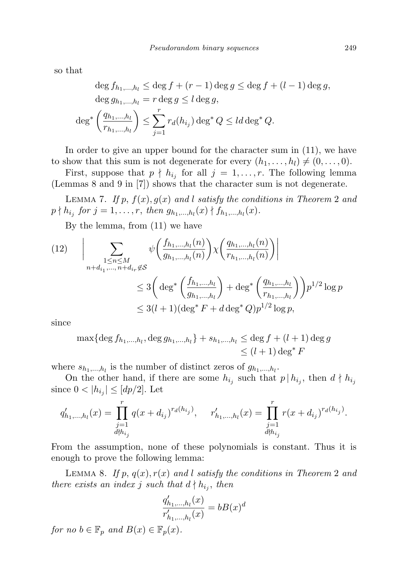so that

$$
\deg f_{h_1,\dots,h_l} \le \deg f + (r-1)\deg g \le \deg f + (l-1)\deg g,
$$
  

$$
\deg g_{h_1,\dots,h_l} = r \deg g \le l \deg g,
$$
  

$$
\deg^* \left(\frac{q_{h_1,\dots,h_l}}{r_{h_1,\dots,h_l}}\right) \le \sum_{j=1}^r r_d(h_{i_j}) \deg^* Q \le l d \deg^* Q.
$$

In order to give an upper bound for the character sum in (11), we have to show that this sum is not degenerate for every  $(h_1, \ldots, h_l) \neq (0, \ldots, 0)$ .

First, suppose that  $p \nmid h_{i_j}$  for all  $j = 1, \ldots, r$ . The following lemma (Lemmas 8 and 9 in [7]) shows that the character sum is not degenerate.

LEMMA 7. If p,  $f(x)$ ,  $g(x)$  and l satisfy the conditions in Theorem 2 and  $p \nmid h_{i_j}$  for  $j = 1, ..., r$ , then  $g_{h_1,...,h_l}(x) \nmid f_{h_1,...,h_l}(x)$ .

By the lemma, from (11) we have

$$
(12) \qquad \bigg| \sum_{\substack{1 \le n \le M \\ n+d_{i_1}, \dots, n+d_{i_r} \notin S}} \psi\left(\frac{f_{h_1, \dots, h_l}(n)}{g_{h_1, \dots, h_l}(n)}\right) \chi\left(\frac{q_{h_1, \dots, h_l}(n)}{r_{h_1, \dots, h_l}(n)}\right) \bigg|
$$
  

$$
\le 3 \bigg(\deg^* \left(\frac{f_{h_1, \dots, h_l}}{g_{h_1, \dots, h_l}}\right) + \deg^* \left(\frac{q_{h_1, \dots, h_l}}{r_{h_1, \dots, h_l}}\right) p^{1/2} \log p
$$
  

$$
\le 3(l+1)(\deg^* F + d \deg^* Q)p^{1/2} \log p,
$$

since

$$
\max\{\deg f_{h_1,\dots,h_l}, \deg g_{h_1,\dots,h_l}\} + s_{h_1,\dots,h_l} \leq \deg f + (l+1) \deg g
$$
  

$$
\leq (l+1) \deg^* F
$$

where  $s_{h_1,...,h_l}$  is the number of distinct zeros of  $g_{h_1,...,h_l}$ .

On the other hand, if there are some  $h_{i_j}$  such that  $p | h_{i_j}$ , then  $d \nmid h_{i_j}$ since  $0 < |h_{i_j}| \leq [dp/2]$ . Let

$$
q'_{h_1,\ldots,h_l}(x) = \prod_{\substack{j=1 \ \text{d} \nmid h_{i_j}}}^{r} q(x + d_{i_j})^{r_d(h_{i_j})}, \quad r'_{h_1,\ldots,h_l}(x) = \prod_{\substack{j=1 \ \text{d} \nmid h_{i_j}}}^{r} r(x + d_{i_j})^{r_d(h_{i_j})}.
$$

From the assumption, none of these polynomials is constant. Thus it is enough to prove the following lemma:

LEMMA 8. If p,  $q(x)$ ,  $r(x)$  and l satisfy the conditions in Theorem 2 and there exists an index j such that  $d \nmid h_{i_j}$ , then

$$
\frac{q'_{h_1,...,h_l}(x)}{r'_{h_1,...,h_l}(x)} = bB(x)^d
$$

for no  $b \in \mathbb{F}_p$  and  $B(x) \in \mathbb{F}_p(x)$ .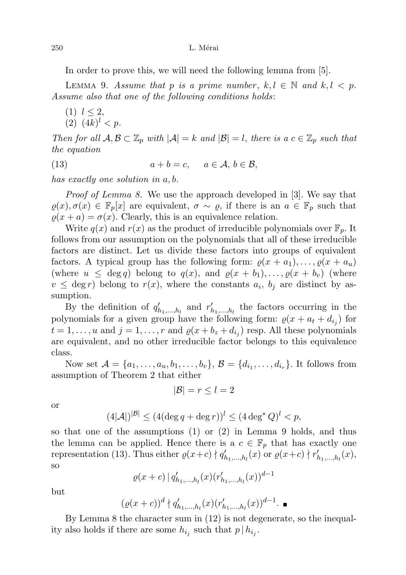250 L. Mérai

In order to prove this, we will need the following lemma from [5].

LEMMA 9. Assume that p is a prime number,  $k, l \in \mathbb{N}$  and  $k, l \leq p$ . Assume also that one of the following conditions holds:

 $(1)$   $l \leq 2$ , (2)  $(4k)^l < p$ .

Then for all  $\mathcal{A}, \mathcal{B} \subset \mathbb{Z}_p$  with  $|\mathcal{A}| = k$  and  $|\mathcal{B}| = l$ , there is a  $c \in \mathbb{Z}_p$  such that the equation

(13) 
$$
a+b=c, \quad a\in\mathcal{A}, b\in\mathcal{B},
$$

has exactly one solution in a, b.

Proof of Lemma 8. We use the approach developed in [3]. We say that  $\varrho(x), \sigma(x) \in \mathbb{F}_p[x]$  are equivalent,  $\sigma \sim \varrho$ , if there is an  $a \in \mathbb{F}_p$  such that  $\rho(x + a) = \sigma(x)$ . Clearly, this is an equivalence relation.

Write  $q(x)$  and  $r(x)$  as the product of irreducible polynomials over  $\mathbb{F}_p$ . It follows from our assumption on the polynomials that all of these irreducible factors are distinct. Let us divide these factors into groups of equivalent factors. A typical group has the following form:  $\varrho(x + a_1), \ldots, \varrho(x + a_u)$ (where  $u \leq \deg q$ ) belong to  $q(x)$ , and  $\varrho(x + b_1), \ldots, \varrho(x + b_v)$  (where  $v \leq \deg r$ ) belong to  $r(x)$ , where the constants  $a_i$ ,  $b_j$  are distinct by assumption.

By the definition of  $q'_{h_1,\dots,h_l}$  and  $r'_{h_1,\dots,h_l}$  the factors occurring in the polynomials for a given group have the following form:  $\varrho(x + a_t + d_{i_j})$  for  $t = 1, \ldots, u$  and  $j = 1, \ldots, r$  and  $\varrho(x + b_z + d_{i_j})$  resp. All these polynomials are equivalent, and no other irreducible factor belongs to this equivalence class.

Now set  $A = \{a_1, ..., a_u, b_1, ..., b_v\}$ ,  $B = \{d_{i_1}, ..., d_{i_r}\}$ . It follows from assumption of Theorem 2 that either

$$
|\mathcal{B}| = r \le l = 2
$$

or

$$
(4|\mathcal{A}|)^{|\mathcal{B}|} \le (4(\deg q + \deg r))^l \le (4\deg^* Q)^l < p,
$$

so that one of the assumptions (1) or (2) in Lemma 9 holds, and thus the lemma can be applied. Hence there is a  $c \in \mathbb{F}_p$  that has exactly one representation (13). Thus either  $\varrho(x+c) \nmid q'_{h_1,...,h_l}(x)$  or  $\varrho(x+c) \nmid r'_{h_1,...,h_l}(x)$ , so

$$
\varrho(x+c) \, | \, q'_{h_1,\dots,h_l}(x) (r'_{h_1,\dots,h_l}(x))^{d-1}
$$

but

$$
(\varrho(x+c))^d \nmid q'_{h_1,\dots,h_l}(x) (r'_{h_1,\dots,h_l}(x))^{d-1}.\blacksquare
$$

By Lemma 8 the character sum in (12) is not degenerate, so the inequality also holds if there are some  $h_{i_j}$  such that  $p | h_{i_j}$ .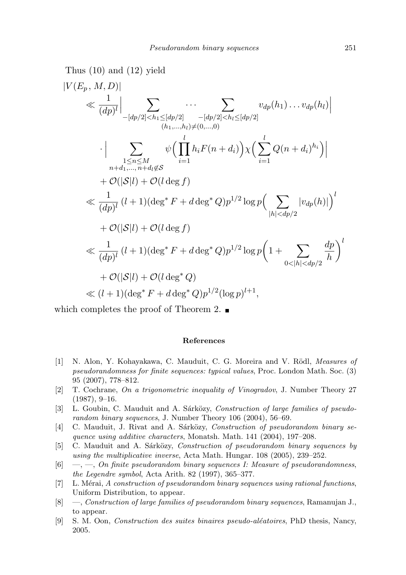Thus (10) and (12) yield  
\n
$$
|V(E_p, M, D)| \ll \frac{1}{(dp)^l} \Big| \sum_{\substack{[-[dp/2] < h_1 \leq [dp/2] \\ (h_1, \ldots, h_l) \neq (0, \ldots, 0)}} \cdots \sum_{\substack{[dp/2] \\ (h_1, \ldots, h_l) \neq (0, \ldots, 0)}} v_{dp}(h_1) \cdots v_{dp}(h_l) \Big|
$$
\n
$$
\cdot \Big| \sum_{\substack{1 \leq n \leq M \\ n+d_1, \ldots, n+d_l \notin S}} \psi \Big( \prod_{i=1}^l h_i F(n + d_i) \Big) \chi \Big( \sum_{i=1}^l Q(n + d_i)^{h_i} \Big) \Big|
$$
\n
$$
+ O(|S|l) + O(l \deg f)
$$
\n
$$
\ll \frac{1}{(dp)^l} (l+1) (\deg^* F + d \deg^* Q) p^{1/2} \log p \Big( \sum_{|h| < dp/2} |v_{dp}(h)| \Big)^l
$$
\n
$$
+ O(|S|l) + O(l \deg f)
$$
\n
$$
\ll \frac{1}{(dp)^l} (l+1) (\deg^* F + d \deg^* Q) p^{1/2} \log p \Big( 1 + \sum_{0 < |h| < dp/2} \frac{dp}{h} \Big)^l
$$
\n
$$
+ O(|S|l) + O(l \deg^* Q)
$$
\n
$$
\ll (l+1) (\deg^* F + d \deg^* Q) p^{1/2} (\log p)^{l+1},
$$

which completes the proof of Theorem 2.  $\blacksquare$ 

#### References

- [1] N. Alon, Y. Kohayakawa, C. Mauduit, C. G. Moreira and V. Rödl, Measures of pseudorandomness for finite sequences: typical values, Proc. London Math. Soc. (3) 95 (2007), 778–812.
- [2] T. Cochrane, On a trigonometric inequality of Vinogradov, J. Number Theory 27  $(1987), 9-16.$
- [3] L. Goubin, C. Mauduit and A. Sárközy, Construction of large families of pseudorandom binary sequences, J. Number Theory 106 (2004), 56–69.
- [4] C. Mauduit, J. Rivat and A. Sárközy, Construction of pseudorandom binary sequence using additive characters, Monatsh. Math. 141 (2004), 197–208.
- [5] C. Mauduit and A. Sárközy, Construction of pseudorandom binary sequences by using the multiplicative inverse, Acta Math. Hungar. 108 (2005), 239–252.
- $[6] \quad -$ ,  $\quad$ ,  $\quad$  on finite pseudorandom binary sequences I: Measure of pseudorandomness, the Legendre symbol, Acta Arith. 82 (1997), 365–377.
- [7] L. Mérai, A construction of pseudorandom binary sequences using rational functions, Uniform Distribution, to appear.
- [8] —, Construction of large families of pseudorandom binary sequences, Ramanujan J., to appear.
- [9] S. M. Oon, *Construction des suites binaires pseudo-aléatoires*, PhD thesis, Nancy, 2005.